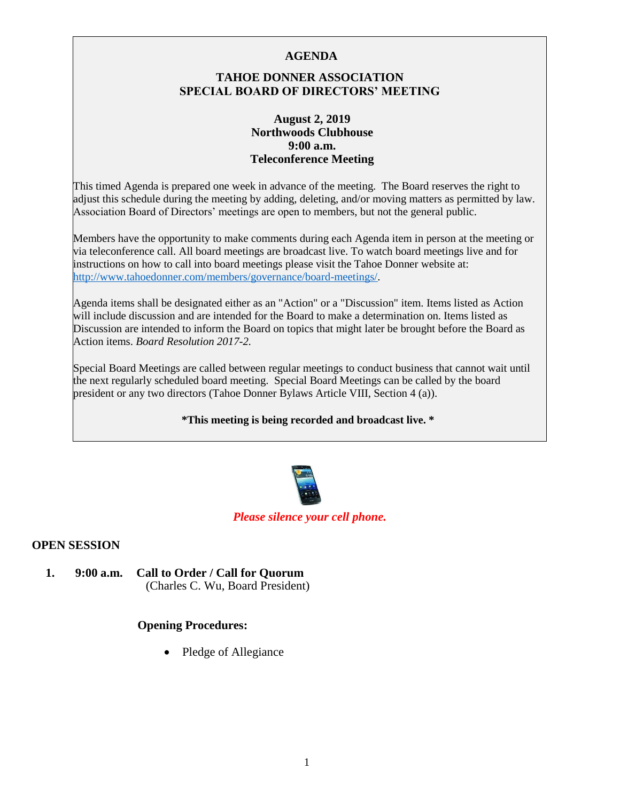### **AGENDA**

# **TAHOE DONNER ASSOCIATION SPECIAL BOARD OF DIRECTORS' MEETING**

### **August 2, 2019 Northwoods Clubhouse 9:00 a.m. Teleconference Meeting**

This timed Agenda is prepared one week in advance of the meeting. The Board reserves the right to adjust this schedule during the meeting by adding, deleting, and/or moving matters as permitted by law. Association Board of Directors' meetings are open to members, but not the general public.

Members have the opportunity to make comments during each Agenda item in person at the meeting or via teleconference call. All board meetings are broadcast live. To watch board meetings live and for instructions on how to call into board meetings please visit the Tahoe Donner website at: [http://www.tahoedonner.com/members/governance/board-meetings/.](http://www.tahoedonner.com/members/governance/board-meetings/) 

Agenda items shall be designated either as an "Action" or a "Discussion" item. Items listed as Action will include discussion and are intended for the Board to make a determination on. Items listed as Discussion are intended to inform the Board on topics that might later be brought before the Board as Action items. *Board Resolution 2017-2.* 

Special Board Meetings are called between regular meetings to conduct business that cannot wait until the next regularly scheduled board meeting. Special Board Meetings can be called by the board president or any two directors (Tahoe Donner Bylaws Article VIII, Section 4 (a)).

#### **\*This meeting is being recorded and broadcast live. \***



#### *Please silence your cell phone.*

### **OPEN SESSION**

**1. 9:00 a.m. Call to Order / Call for Quorum** (Charles C. Wu, Board President)

### **Opening Procedures:**

• Pledge of Allegiance